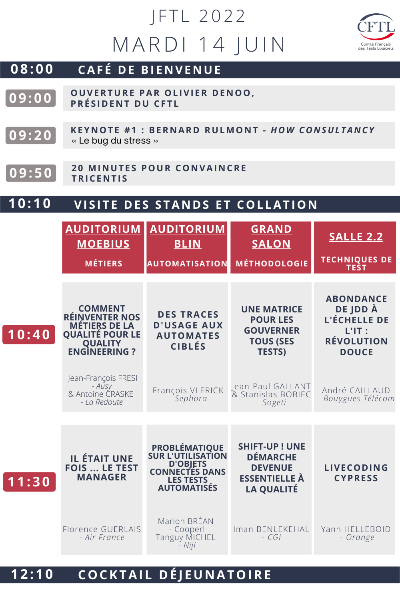## M A R D I 14 J U I N JFTL 2022



## **0 8 : 0 0 CAF É D E BI E N VE N UE**

- **OUVERTURE PAR OL IVI ER D E N OO, PRÉ S I D E N T DU CF T L 0 9 : 0 0**
- **0 9 : 2 0 KEYNOTE #1: BERNARD RULMONT - HOW CONSULTANCY** « Le bug du stress »
- **2 0 MI N UT E S POUR CO N VAI N CRE TRICE <sup>N</sup> <sup>T</sup> <sup>I</sup> <sup>S</sup> 0 9 : 5 0**

**1 0 : 4 0**

## **1 0 : 1 0 VI S I T E D E S S TA N D S E T COL LAT IO N**

|       | <b>AUDITORIUM</b><br><b>MOEBIUS</b>                                                                                           | <b>AUDITORIUM</b><br><b>BLIN</b>                                                                                                | <b>GRAND</b><br><b>SALON</b>                                                                           | <b>SALLE 2.2</b>                                                                                     |
|-------|-------------------------------------------------------------------------------------------------------------------------------|---------------------------------------------------------------------------------------------------------------------------------|--------------------------------------------------------------------------------------------------------|------------------------------------------------------------------------------------------------------|
|       | <b>MÉTIERS</b>                                                                                                                | <b>AUTOMATISATION</b>                                                                                                           | <b>MÉTHODOLOGIE</b>                                                                                    | <b>TECHNIQUES DE</b><br><b>TEST</b>                                                                  |
| 10:40 | <b>COMMENT</b><br><b>RÉINVENTER NOS</b><br><b>MÉTIERS DE LA</b><br><b>QUALITÉ POUR LE</b><br><b>COUALITY</b><br>ENGINEERING ? | <b>DES TRACES</b><br><b>D'USAGE AUX</b><br><b>AUTOMATES</b><br><b>CIBLÉS</b>                                                    | <b>UNE MATRICE</b><br><b>POUR LES</b><br><b>GOUVERNER</b><br><b>TOUS (SES</b><br><b>TESTS)</b>         | <b>ABONDANCE</b><br>DE JDD À<br><b>L'ÉCHELLE DE</b><br>$L'IT$ :<br><b>RÉVOLUTION</b><br><b>DOUCE</b> |
|       | Jean-François FRESI<br>- Ausy<br>& Antoine CRASKE<br>- La Redoute                                                             | François VLERICK<br>- Sephora                                                                                                   | Jean-Paul GALLANT<br>& Stanislas BOBIEC<br>- Sogeti                                                    | André CAILLAUD<br>- Bouygues Télécom                                                                 |
| 11:30 | <b>IL ÉTAIT UNE</b><br><b>FOIS  LE TEST</b><br><b>MANAGER</b>                                                                 | <b>PROBLÉMATIQUE</b><br><b>SUR L'UTILISATION</b><br>D'OBJETS<br><b>CONNECTÉS DANS</b><br><b>LES TESTS</b><br><b>AUTOMATISÉS</b> | <b>SHIFT-UP! UNE</b><br><b>DÉMARCHE</b><br><b>DEVENUE</b><br><b>ESSENTIELLE À</b><br><b>LA QUALITÉ</b> | <b>LIVECODING</b><br><b>CYPRESS</b>                                                                  |
|       | Florence GUERLAIS<br>- Air France                                                                                             | Marion BRÉAN<br>- Cooperl<br><b>Tanguy MICHEL</b><br>- Niji                                                                     | Iman BENLEKEHAL<br>$-CG$                                                                               | Yann HELLEBOID<br>- Orange                                                                           |

## **1 2 : 1 0 COCKTAI L D É J EU N ATOIRE**